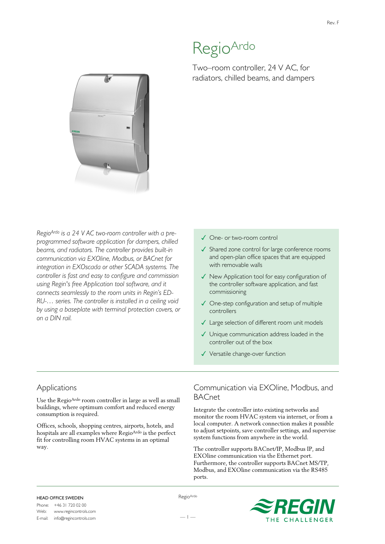# RegioArdo

Two–room controller, 24 V AC, for radiators, chilled beams, and dampers



*RegioArdo is a 24 V AC two-room controller with a preprogrammed software application for dampers, chilled beams, and radiators. The controller provides built-in communication via EXOline, Modbus, or BACnet for integration in EXOscada or other SCADA systems. The controller is fast and easy to configure and commission using Regin's free Application tool software, and it connects seamlessly to the room units in Regin's ED-RU-… series. The controller is installed in a ceiling void by using a baseplate with terminal protection covers, or on a DIN rail.*

#### ✓ One- or two-room control

- ✓ Shared zone control for large conference rooms and open-plan office spaces that are equipped with removable walls
- ✓ New Application tool for easy configuration of the controller software application, and fast commissioning
- ✓ One-step configuration and setup of multiple controllers
- ✓ Large selection of different room unit models
- ✓ Unique communication address loaded in the controller out of the box
- ✓ Versatile change-over function

### Applications

Use the RegioArdo room controller in large as well as small buildings, where optimum comfort and reduced energy consumption is required.

Offices, schools, shopping centres, airports, hotels, and hospitals are all examples where RegioArdo is the perfect fit for controlling room HVAC systems in an optimal way.

# Communication via EXOline, Modbus, and **BACnet**

Integrate the controller into existing networks and monitor the room HVAC system via internet, or from a local computer. A network connection makes it possible to adjust setpoints, save controller settings, and supervise system functions from anywhere in the world.

The controller supports BACnet/IP, Modbus IP, and EXOline communication via the Ethernet port. Furthermore, the controller supports BACnet MS/TP, Modbus, and EXOline communication via the RS485 ports.

#### HEAD OFFICE SWEDEN

Phone: +46 31 720 02 00<br>Web: www.regincontrols Web: www.regincontrols.com E-mail: info@regincontrols.com RegioArdo

— 1 —

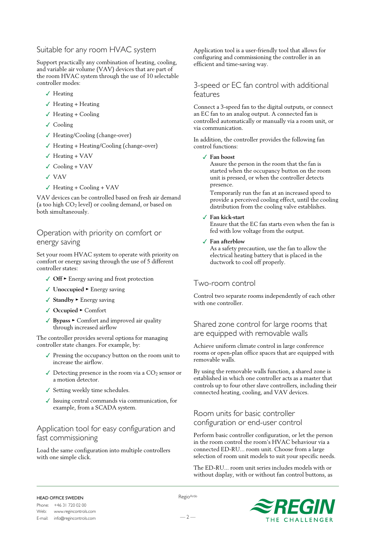## Suitable for any room HVAC system

Support practically any combination of heating, cooling, and variable air volume (VAV) devices that are part of the room HVAC system through the use of 10 selectable controller modes:

- ✓ Heating
- ✓ Heating + Heating
- $\checkmark$  Heating + Cooling
- ✓ Cooling
- ✓ Heating/Cooling (change-over)
- ✓ Heating + Heating/Cooling (change-over)
- ✓ Heating + VAV
- $\checkmark$  Cooling + VAV
- ✓ VAV
- $\checkmark$  Heating + Cooling + VAV

VAV devices can be controlled based on fresh air demand (a too high CO<sub>2</sub> level) or cooling demand, or based on both simultaneously.

# Operation with priority on comfort or energy saving

Set your room HVAC system to operate with priority on comfort or energy saving through the use of 5 different controller states:

- ✓ **Off** ► Energy saving and frost protection
- ✓ **Unoccupied** ► Energy saving
- ✓ **Standby** ► Energy saving
- ✓ **Occupied** ► Comfort
- ✓ **Bypass** ► Comfort and improved air quality through increased airflow

The controller provides several options for managing controller state changes. For example, by:

- ✓ Pressing the occupancy button on the room unit to increase the airflow.
- $\sqrt{\phantom{a}}$  Detecting presence in the room via a CO<sub>2</sub> sensor or a motion detector.
- ✓ Setting weekly time schedules.
- ✓ Issuing central commands via communication, for example, from a SCADA system.

# Application tool for easy configuration and fast commissioning

Load the same configuration into multiple controllers with one simple click.

Application tool is a user-friendly tool that allows for configuring and commissioning the controller in an efficient and time-saving way.

## 3-speed or EC fan control with additional features

Connect a 3-speed fan to the digital outputs, or connect an EC fan to an analog output. A connected fan is controlled automatically or manually via a room unit, or via communication.

In addition, the controller provides the following fan control functions:

#### ✓ **Fan boost**

Assure the person in the room that the fan is started when the occupancy button on the room unit is pressed, or when the controller detects presence.

Temporarily run the fan at an increased speed to provide a perceived cooling effect, until the cooling distribution from the cooling valve establishes.

#### ✓ **Fan kick-start**

Ensure that the EC fan starts even when the fan is fed with low voltage from the output.

#### ✓ **Fan afterblow**

As a safety precaution, use the fan to allow the electrical heating battery that is placed in the ductwork to cool off properly.

### Two-room control

Control two separate rooms independently of each other with one controller.

## Shared zone control for large rooms that are equipped with removable walls

Achieve uniform climate control in large conference rooms or open-plan office spaces that are equipped with removable walls.

By using the removable walls function, a shared zone is established in which one controller acts as a master that controls up to four other slave controllers, including their connected heating, cooling, and VAV devices.

# Room units for basic controller configuration or end-user control

Perform basic controller configuration, or let the person in the room control the room's HVAC behaviour via a connected ED-RU... room unit. Choose from a large selection of room unit models to suit your specific needs.

The ED-RU... room unit series includes models with or without display, with or without fan control buttons, as

#### HEAD OFFICE SWEDEN

Phone: +46 31 720 02 00<br>Web: www.regincontrols Web: www.regincontrols.com E-mail: info@regincontrols.com RegioArdo

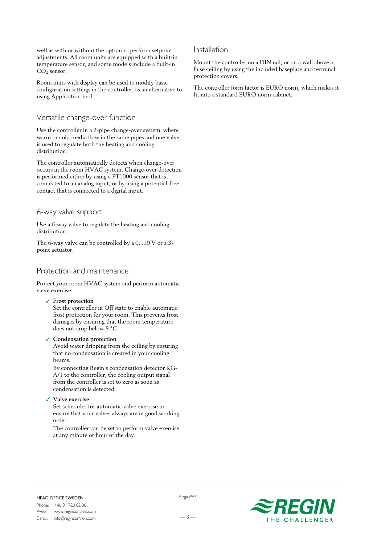well as with or without the option to perform setpoint adjustments. All room units are equipped with a built-in temperature sensor, and some models include a built-in CO<sub>2</sub> sensor.

Room units with display can be used to modify basic configuration settings in the controller, as an alternative to using Application tool.

## Versatile change-over function

Use the controller in a 2-pipe change-over system, where warm or cold media flow in the same pipes and one valve is used to regulate both the heating and cooling distribution.

The controller automatically detects when change-over occurs in the room HVAC system. Change-over detection is performed either by using a PT1000 sensor that is connected to an analog input, or by using a potential-free contact that is connected to a digital input.

## 6-way valve support

Use a 6-way valve to regulate the heating and cooling distribution.

The 6-way valve can be controlled by a 0...10 V or a 3 point actuator.

## Protection and maintenance

Protect your room HVAC system and perform automatic valve exercise.

✓ **Frost protection**

Set the controller in Off state to enable automatic frost protection for your room. This prevents frost damages by ensuring that the room temperature does not drop below 8 °C.

✓ **Condensation protection**

Avoid water dripping from the ceiling by ensuring that no condensation is created in your cooling beams.

By connecting Regin's condensation detector KG-A/1 to the controller, the cooling output signal from the controller is set to zero as soon as condensation is detected.

✓ **Valve exercise**

Set schedules for automatic valve exercise to ensure that your valves always are in good working order.

The controller can be set to perform valve exercise at any minute or hour of the day.

### Installation

Mount the controller on a DIN rail, or on a wall above a false ceiling by using the included baseplate and terminal protection covers.

The controller form factor is EURO norm, which makes it fit into a standard EURO norm cabinet.



#### HEAD OFFICE SWEDEN

 $-3-$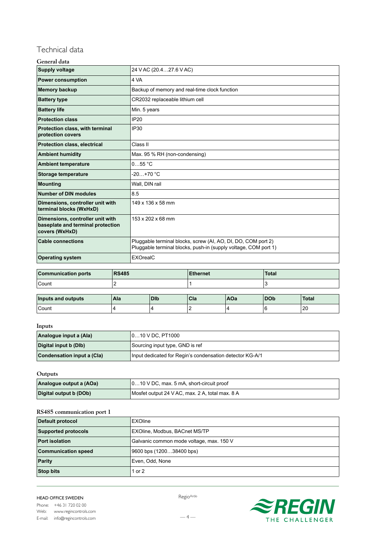# Technical data

| General data |  |
|--------------|--|
|--------------|--|

| <b>Supply voltage</b>                                                                   | 24 V AC (20.427.6 V AC)                                                                                                          |  |
|-----------------------------------------------------------------------------------------|----------------------------------------------------------------------------------------------------------------------------------|--|
| <b>Power consumption</b>                                                                | 4 VA                                                                                                                             |  |
| <b>Memory backup</b>                                                                    | Backup of memory and real-time clock function                                                                                    |  |
| <b>Battery type</b>                                                                     | CR2032 replaceable lithium cell                                                                                                  |  |
| <b>Battery life</b>                                                                     | Min. 5 years                                                                                                                     |  |
| <b>Protection class</b>                                                                 | <b>IP20</b>                                                                                                                      |  |
| Protection class, with terminal<br>protection covers                                    | <b>IP30</b>                                                                                                                      |  |
| <b>Protection class, electrical</b>                                                     | Class II                                                                                                                         |  |
| <b>Ambient humidity</b>                                                                 | Max. 95 % RH (non-condensing)                                                                                                    |  |
| <b>Ambient temperature</b>                                                              | 055 °C                                                                                                                           |  |
| <b>Storage temperature</b>                                                              | $-20+70 °C$                                                                                                                      |  |
| <b>Mounting</b>                                                                         | Wall, DIN rail                                                                                                                   |  |
| <b>Number of DIN modules</b>                                                            | 8.5                                                                                                                              |  |
| Dimensions, controller unit with<br>terminal blocks (WxHxD)                             | 149 x 136 x 58 mm                                                                                                                |  |
| Dimensions, controller unit with<br>baseplate and terminal protection<br>covers (WxHxD) | 153 x 202 x 68 mm                                                                                                                |  |
| <b>Cable connections</b>                                                                | Pluggable terminal blocks, screw (AI, AO, DI, DO, COM port 2)<br>Pluggable terminal blocks, push-in (supply voltage, COM port 1) |  |
| <b>Operating system</b>                                                                 | EXOrealC                                                                                                                         |  |

| <b>Communication ports</b> | <b>RS485</b> | <b>Ethernet</b> | Total |
|----------------------------|--------------|-----------------|-------|
| Count                      |              |                 |       |
|                            |              |                 |       |

| Inputs and outputs | Ala | <b>DID</b> | Cla | AOa | l DOb | <b>Total</b>         |
|--------------------|-----|------------|-----|-----|-------|----------------------|
| Count              |     |            |     |     |       | $\mathcal{L}$<br>∣∠∪ |

### **Inputs**

| Analogue input a (Ala)                                                                 | 010 V DC, PT1000                |  |
|----------------------------------------------------------------------------------------|---------------------------------|--|
| Digital input b (Dlb)                                                                  | Sourcing input type, GND is ref |  |
| Condensation input a (Cla)<br>Input dedicated for Regin's condensation detector KG-A/1 |                                 |  |

## **Outputs**

| Analogue output a (AOa) | $\vert$ 010 V DC, max. 5 mA, short-circuit proof |
|-------------------------|--------------------------------------------------|
| Digital output b (DOb)  | Mosfet output 24 V AC, max. 2 A, total max. 8 A  |

#### **RS485 communication port 1**

| <b>Default protocol</b>    | <b>EXOline</b>                           |  |
|----------------------------|------------------------------------------|--|
| <b>Supported protocols</b> | <b>EXOline, Modbus, BACnet MS/TP</b>     |  |
| <b>Port isolation</b>      | Galvanic common mode voltage, max. 150 V |  |
| <b>Communication speed</b> | 9600 bps (120038400 bps)                 |  |
| <b>Parity</b>              | Even, Odd, None                          |  |
| <b>Stop bits</b>           | l or 2                                   |  |

#### HEAD OFFICE SWEDEN

 $-4-$ 

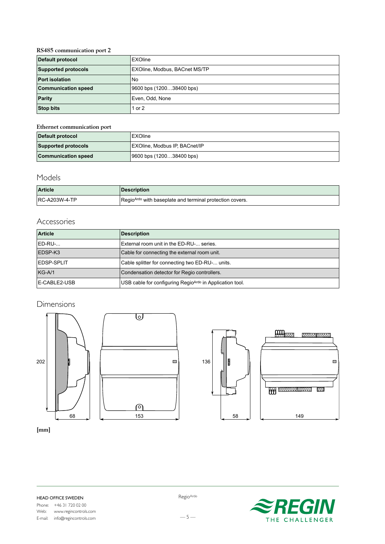### **RS485 communication port 2**

| <b>Default protocol</b>    | <b>EXOline</b>                |  |
|----------------------------|-------------------------------|--|
| <b>Supported protocols</b> | EXOline, Modbus, BACnet MS/TP |  |
| <b>Port isolation</b>      | <b>No</b>                     |  |
| <b>Communication speed</b> | 9600 bps (120038400 bps)      |  |
| <b>Parity</b>              | Even, Odd, None               |  |
| <b>Stop bits</b>           | 1 or 2                        |  |

#### **Ethernet communication port**

| Default protocol<br><b>EXOline</b>                     |                               |
|--------------------------------------------------------|-------------------------------|
| <b>Supported protocols</b>                             | EXOline, Modbus IP, BACnet/IP |
| <b>Communication speed</b><br>9600 bps (120038400 bps) |                               |

# Models

| <b>Article</b>       | <b>Description</b>                                                   |
|----------------------|----------------------------------------------------------------------|
| <b>RC-A203W-4-TP</b> | Regio <sup>Ardo</sup> with baseplate and terminal protection covers. |

# Accessories

| <b>Article</b>     | <b>Description</b>                                       |  |
|--------------------|----------------------------------------------------------|--|
| ED-RU-             | External room unit in the ED-RU- series.                 |  |
| EDSP-K3            | Cable for connecting the external room unit.             |  |
| <b>IEDSP-SPLIT</b> | Cable splitter for connecting two ED-RU- units.          |  |
| $KG-A/1$           | Condensation detector for Regio controllers.             |  |
| E-CABLE2-USB       | USB cable for configuring RegioArdo in Application tool. |  |

 $\Box$ 

# Dimensions





**[mm]**

 $-5-$ 

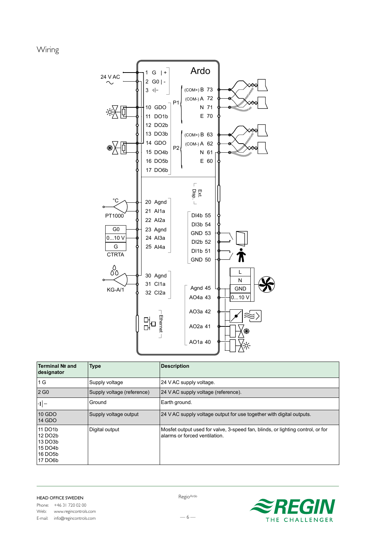Wiring



| Terminal № and<br>designator                                                             | Type                       | <b>Description</b>                                                                                              |
|------------------------------------------------------------------------------------------|----------------------------|-----------------------------------------------------------------------------------------------------------------|
| 1 G                                                                                      | Supply voltage             | 24 V AC supply voltage.                                                                                         |
| 2 G <sub>0</sub>                                                                         | Supply voltage (reference) | 24 V AC supply voltage (reference).                                                                             |
| $ \cdot  \cdot  $                                                                        | Ground                     | Earth ground.                                                                                                   |
| 10 GDO<br>14 GDO                                                                         | Supply voltage output      | 24 V AC supply voltage output for use together with digital outputs.                                            |
| 11 DO1b<br>12 DO <sub>2</sub> b<br>13 DO3b<br>15 DO4b<br>16 DO <sub>5</sub> b<br>17 DO6b | Digital output             | Mosfet output used for valve, 3-speed fan, blinds, or lighting control, or for<br>alarms or forced ventilation. |



RegioArdo

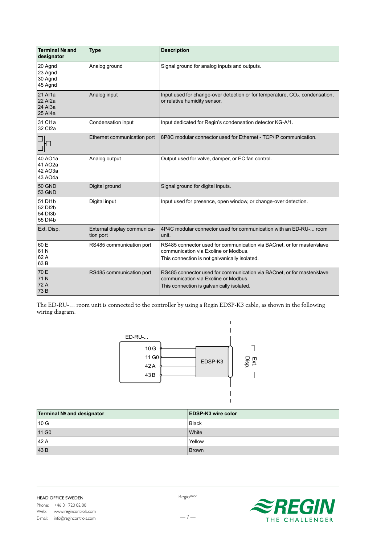| Terminal № and<br>designator                    | <b>Type</b>                              | <b>Description</b>                                                                                                                                              |
|-------------------------------------------------|------------------------------------------|-----------------------------------------------------------------------------------------------------------------------------------------------------------------|
| 20 Agnd<br>23 Agnd<br>30 Agnd<br>45 Agnd        | Analog ground                            | Signal ground for analog inputs and outputs.                                                                                                                    |
| 21 Al1a<br><b>22 Al2a</b><br>24 Al3a<br>25 Al4a | Analog input                             | Input used for change-over detection or for temperature, CO <sub>2</sub> , condensation,<br>or relative humidity sensor.                                        |
| 31 Cl1a<br>32 Cl2a                              | Condensation input                       | Input dedicated for Regin's condensation detector KG-A/1.                                                                                                       |
|                                                 | Ethernet communication port              | 8P8C modular connector used for Ethernet - TCP/IP communication.                                                                                                |
| 40 AO1a<br>41 AO2a<br>42 AO3a<br>43 AO4a        | Analog output                            | Output used for valve, damper, or EC fan control.                                                                                                               |
| <b>50 GND</b><br><b>53 GND</b>                  | Digital ground                           | Signal ground for digital inputs.                                                                                                                               |
| 51 DI1b<br>52 DI2b<br>54 DI3b<br>55 DI4b        | Digital input                            | Input used for presence, open window, or change-over detection.                                                                                                 |
| Ext. Disp.                                      | External display communica-<br>tion port | 4P4C modular connector used for communication with an ED-RU- room<br>unit.                                                                                      |
| 60 E<br>61N<br>62 A<br>63B                      | RS485 communication port                 | RS485 connector used for communication via BACnet, or for master/slave<br>communication via Exoline or Modbus.<br>This connection is not galvanically isolated. |
| 70 E<br>71N<br>72 A<br>73B                      | RS485 communication port                 | RS485 connector used for communication via BACnet, or for master/slave<br>communication via Exoline or Modbus.<br>This connection is galvanically isolated.     |

The ED-RU-… room unit is connected to the controller by using a Regin EDSP-K3 cable, as shown in the following wiring diagram.



| Terminal № and designator | <b>IEDSP-K3 wire color</b> |
|---------------------------|----------------------------|
| 10 G                      | <b>Black</b>               |
| 11 G <sub>0</sub>         | <b>White</b>               |
| 42 A                      | Yellow                     |
| 43B                       | <b>Brown</b>               |

E-mail: info@regincontrols.com

RegioArdo



 $-7-$